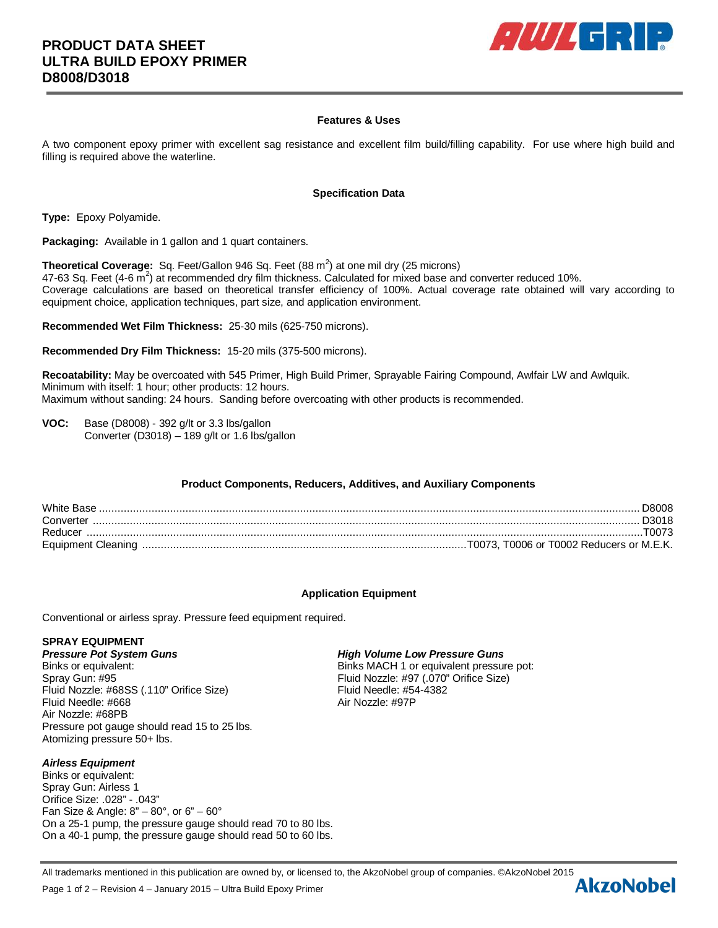

## **Features & Uses**

A two component epoxy primer with excellent sag resistance and excellent film build/filling capability. For use where high build and filling is required above the waterline.

#### **Specification Data**

**Type:** Epoxy Polyamide.

**Packaging:** Available in 1 gallon and 1 quart containers.

**Theoretical Coverage:** Sq. Feet/Gallon 946 Sq. Feet (88 m<sup>2</sup>) at one mil dry (25 microns) 47-63 Sq. Feet (4-6  $\overline{m}^2$ ) at recommended dry film thickness. Calculated for mixed base and converter reduced 10%. Coverage calculations are based on theoretical transfer efficiency of 100%. Actual coverage rate obtained will vary according to equipment choice, application techniques, part size, and application environment.

**Recommended Wet Film Thickness:** 25-30 mils (625-750 microns).

**Recommended Dry Film Thickness:** 15-20 mils (375-500 microns).

**Recoatability:** May be overcoated with 545 Primer, High Build Primer, Sprayable Fairing Compound, Awlfair LW and Awlquik. Minimum with itself: 1 hour; other products: 12 hours. Maximum without sanding: 24 hours. Sanding before overcoating with other products is recommended.

**VOC:** Base (D8008) - 392 g/lt or 3.3 lbs/gallon Converter (D3018) – 189 g/lt or 1.6 lbs/gallon

## **Product Components, Reducers, Additives, and Auxiliary Components**

| White Base | D8008 -   |
|------------|-----------|
| Converter  | . D3018 . |
| Reducer    |           |
|            |           |

## **Application Equipment**

Conventional or airless spray. Pressure feed equipment required.

# **SPRAY EQUIPMENT**

Binks or equivalent: Binks MACH 1 or equivalent pressure pot: Spray Gun: #95 Fluid Nozzle: #97 (.070" Orifice Size) Fluid Nozzle: #68SS (.110" Orifice Size)<br>Fluid Needle: #668<br>Air Nozzle: #97P Fluid Needle: #668 Air Nozzle: #68PB Pressure pot gauge should read 15 to 25 lbs. Atomizing pressure 50+ lbs.

## *Airless Equipment*

Binks or equivalent: Spray Gun: Airless 1 Orifice Size: .028" - .043" Fan Size & Angle:  $8" - 80^\circ$ , or  $6" - 60^\circ$ On a 25-1 pump, the pressure gauge should read 70 to 80 lbs. On a 40-1 pump, the pressure gauge should read 50 to 60 lbs.

Page 1 of 2 – Revision 4 – January 2015 – Ultra Build Epoxy Primer

## *Pressure Pot System Guns High Volume Low Pressure Guns*